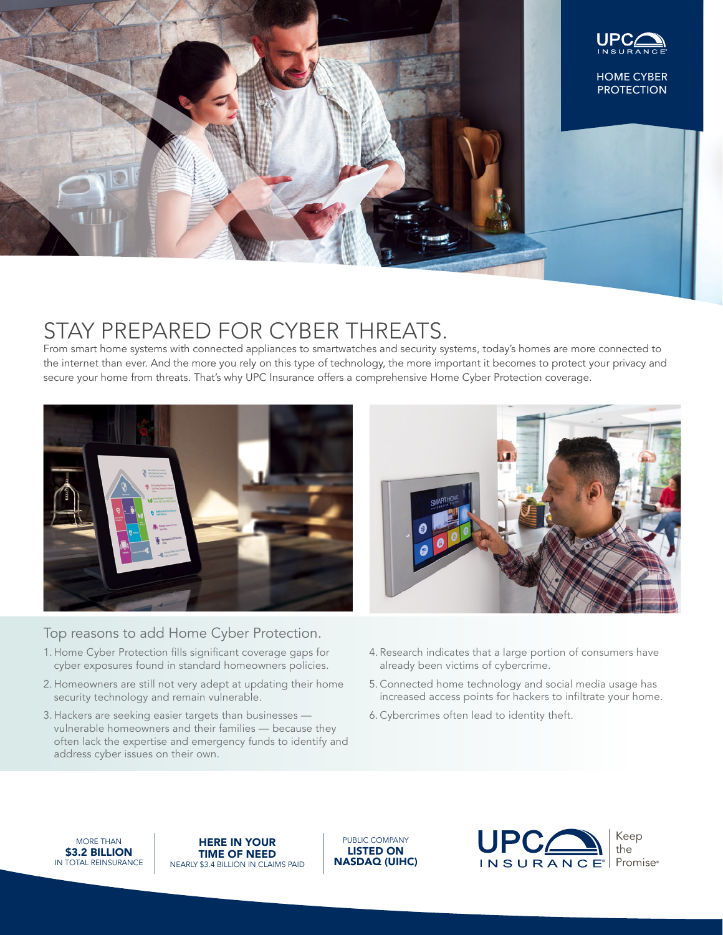

# STAY PREPARED FOR CYBER THREATS.

From smart home systems with connected appliances to smartwatches and security systems, today's homes are more connected to the internet than ever. And the more you rely on this type of technology, the more important it becomes to protect your privacy and secure your home from threats. That's why UPC Insurance offers a comprehensive Home Cyber Protection coverage.



## Top reasons to add Home Cyber Protection.

- 1. Home Cyber Protection fills significant coverage gaps for cyber exposures found in standard homeowners policies.
- 2. Homeowners are still not very adept at updating their home security technology and remain vulnerable.
- 3. Hackers are seeking easier targets than businesses vulnerable homeowners and their families — because they often lack the expertise and emergency funds to identify and address cyber issues on their own.
- 4. Research indicates that a large portion of consumers have already been victims of cybercrime.
- 5. Connected home technology and social media usage has increased access points for hackers to infiltrate your home.
- 6. Cybercrimes often lead to identity theft.

MORE THAN \$3.2 BILLION IN TOTAL REINSURANCE

HERE IN YOUR TIME OF NEED NEARLY \$3.4 BILLION IN CLAIMS PAID

PUBLIC COMPANY LISTED ON NASDAQ (UIHC)